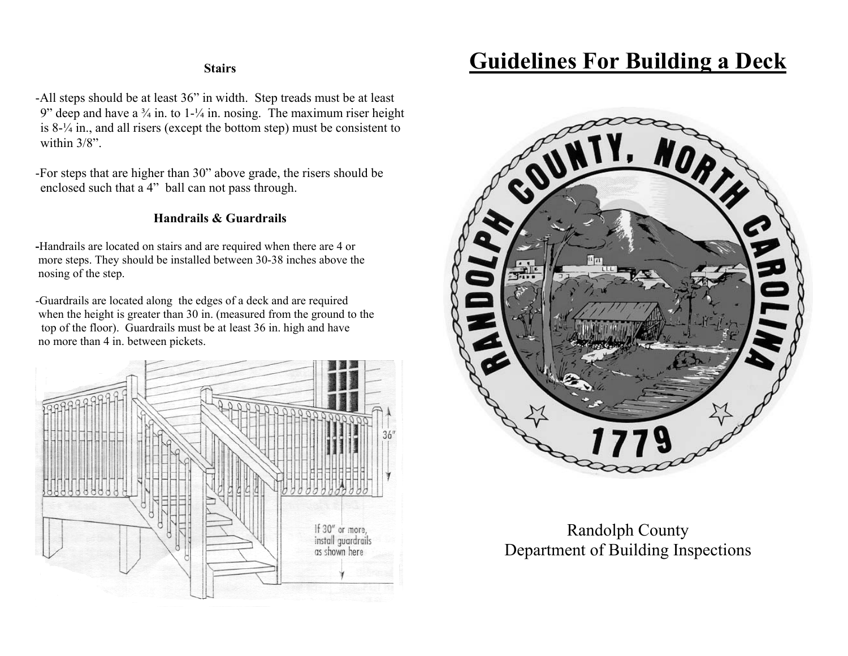-All steps should be at least 36" in width. Step treads must be at least 9" deep and have a  $\frac{3}{4}$  in. to 1- $\frac{1}{4}$  in. nosing. The maximum riser height is 8-¼ in., and all risers (except the bottom step) must be consistent to within 3/8".

-For steps that are higher than 30" above grade, the risers should be enclosed such that a 4" ball can not pass through.

#### **Handrails & Guardrails**

**-**Handrails are located on stairs and are required when there are 4 or more steps. They should be installed between 30-38 inches above the nosing of the step.

-Guardrails are located along the edges of a deck and are required when the height is greater than 30 in. (measured from the ground to the top of the floor). Guardrails must be at least 36 in. high and have no more than 4 in. between pickets.



# **Stairs Guidelines For Building a Deck**



## Randolph County Department of Building Inspections